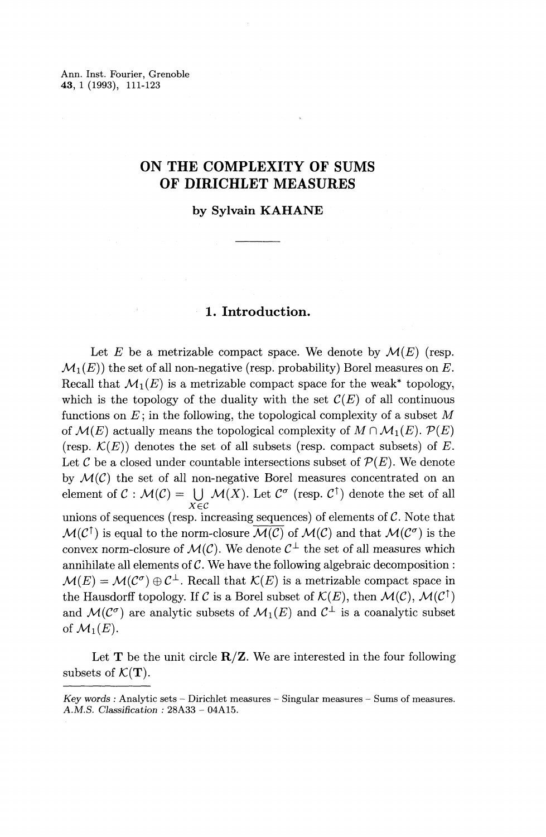Ann. Inst. Fourier, Grenoble **43,** 1 (1993), 111-123

# **ON THE COMPLEXITY OF SUMS OF DIRICHLET MEASURES**

**by Sylvain KAHANE**

# **1. Introduction.**

Let E be a metrizable compact space. We denote by  $\mathcal{M}(E)$  (resp.  $\mathcal{M}_1(E)$ ) the set of all non-negative (resp. probability) Borel measures on E. Recall that  $\mathcal{M}_1(E)$  is a metrizable compact space for the weak<sup>\*</sup> topology, which is the topology of the duality with the set  $\mathcal{C}(E)$  of all continuous functions on *E;* in the following, the topological complexity of a subset *M* of  $\mathcal{M}(E)$  actually means the topological complexity of  $M \cap \mathcal{M}_1(E)$ .  $\mathcal{P}(E)$ (resp.  $\mathcal{K}(E)$ ) denotes the set of all subsets (resp. compact subsets) of E. Let  $\mathcal C$  be a closed under countable intersections subset of  $\mathcal P(E)$ . We denote by  $\mathcal{M}(\mathcal{C})$  the set of all non-negative Borel measures concentrated on an element of  $C : \mathcal{M}(\mathcal{C}) = \bigcup \mathcal{M}(X)$ . Let  $\mathcal{C}^{\sigma}$  (resp.  $\mathcal{C}^{\uparrow}$ ) denote the set of all *xec* unions of sequences (resp. increasing sequences) of elements of  $C$ . Note that  $M(\mathcal{C}^{\dagger})$  is equal to the norm-closure  $\overline{M(\mathcal{C})}$  of  $M(\mathcal{C})$  and that  $M(\mathcal{C}^{\sigma})$  is the convex norm-closure of  $\mathcal{M}(\mathcal{C})$ . We denote  $\mathcal{C}^{\perp}$  the set of all measures which annihilate all elements of  $C$ . We have the following algebraic decomposition :  $\mathcal{M}(E) = \mathcal{M}(\mathcal{C}^{\sigma}) \oplus \mathcal{C}^{\perp}$ . Recall that  $\mathcal{K}(E)$  is a metrizable compact space in the Hausdorff topology. If C is a Borel subset of  $\mathcal{K}(E)$ , then  $\mathcal{M}(\mathcal{C})$ ,  $\mathcal{M}(\mathcal{C}^{\uparrow})$ and  $\mathcal{M}(\mathcal{C}^{\sigma})$  are analytic subsets of  $\mathcal{M}_1(E)$  and  $\mathcal{C}^{\perp}$  is a coanalytic subset and  $\mathcal{M}(\mathcal{C}^{\sigma})$  are analytic subsets of  $\mathcal{M}_1(E)$  and  $\mathcal{C}^{\perp}$  is a coanalytic subset of  $\mathcal{M}_1(E)$ .

Let  $T$  be the unit circle  $R/Z$ . We are interested in the four following subsets of  $\mathcal{K}(\mathbf{T})$ .

*Key words :* Analytic sets — Dirichlet measures — Singular measures — Sums of measures. A.M.S. *Classification :* 28A33 - 04A15.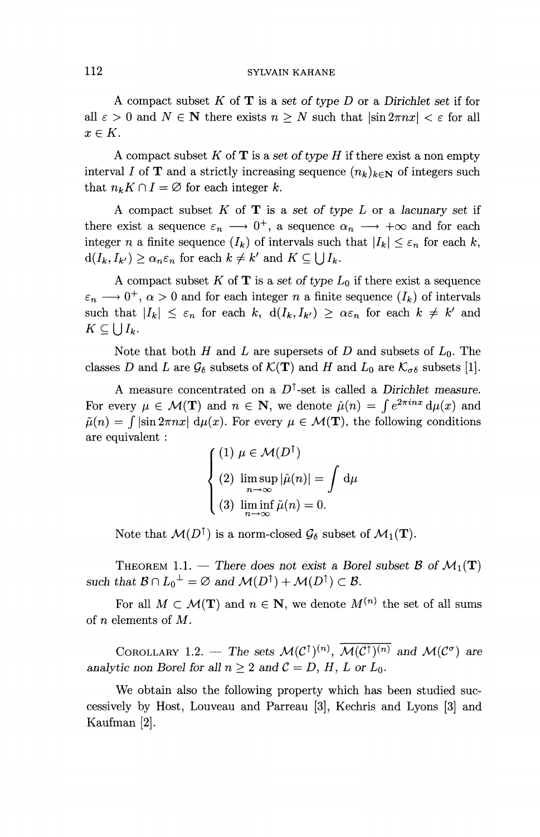### 112 SYLVAIN KAHANE

A compact subset *K* of T is a *set of type D* or a *Dirichlet set* if for all  $\varepsilon > 0$  and  $N \in \mathbb{N}$  there exists  $n \geq N$  such that  $|\sin 2\pi nx| < \varepsilon$  for all  $x\in K.$ 

A compact subset *K* of T is a set *of type H* if there exist a non empty interval *I* of **T** and a strictly increasing sequence  $(n_k)_{k \in \mathbb{N}}$  of integers such that  $n_k K \cap I = \emptyset$  for each integer k.

A compact subset *K* of T is a set *of type L* or a *lacunary set* if there exist a sequence  $\varepsilon_n \longrightarrow 0^+$ , a sequence  $\alpha_n \longrightarrow +\infty$  and for each integer *n* a finite sequence  $(I_k)$  of intervals such that  $|I_k| \leq \varepsilon_n$  for each k,  $d(I_k, I_{k'}) \ge \alpha_n \varepsilon_n$  for each  $k \ne k'$  and  $K \subseteq \bigcup I_k$ .

A compact subset  $K$  of  $T$  is a set of type  $L_0$  if there exist a sequence  $\varepsilon_n \longrightarrow 0^+, \alpha > 0$  and for each integer n a finite sequence  $(I_k)$  of intervals such that  $\left| I_k\right| \leq \varepsilon_n$  for each k,  $d(I_k,I_{k'}) \geq \alpha \varepsilon_n$  for each  $k \neq k'$  and  $K\subseteq\bigcup I_k$ .

Note that both *H* and *L* are supersets of *D* and subsets of  $L_0$ . The classes D and L are  $\mathcal{G}_{\delta}$  subsets of  $\mathcal{K}(\mathbf{T})$  and H and  $L_0$  are  $\mathcal{K}_{\sigma\delta}$  subsets [1].

A measure concentrated on a  $D^{\uparrow}$ -set is called a *Dirichlet measure*. A measure concentrated on a  $D^{\dagger}$ -set is called a *Dirich*<br>For every  $\mu \in \mathcal{M}(\mathbf{T})$  and  $n \in \mathbf{N}$ , we denote  $\hat{\mu}(n) = \int e^{2\pi i n}$  $^{ix}$  d $\mu(x)$  and  $\tilde{\mu}(n) = \int |\sin 2\pi nx| \, d\mu(x)$ . For every  $\mu \in \mathcal{M}(\mathbf{T})$ , the following conditions are equivalent :

$$
\begin{cases}\n(1) \ \mu \in \mathcal{M}(D^{\uparrow}) \\
(2) \ \limsup_{n \to \infty} |\hat{\mu}(n)| = \int d\mu \\
(3) \ \liminf_{n \to \infty} \tilde{\mu}(n) = 0.\n\end{cases}
$$

Note that  $\mathcal{M}(D^{\uparrow})$  is a norm-closed  $\mathcal{G}_{\delta}$  subset of  $\mathcal{M}_1(\mathbf{T})$ .

THEOREM 1.1. — There does not exist a Borel subset  $\mathcal{B}$  of  $\mathcal{M}_1(\mathbf{T})$ *such that*  $\mathcal{B} \cap L_0^{\perp} = \emptyset$  *and*  $\mathcal{M}(D^{\uparrow}) + \mathcal{M}(D^{\uparrow}) \subset \mathcal{B}$ .

For all  $M \subset \mathcal{M}(\mathbf{T})$  and  $n \in \mathbf{N}$ , we denote  $M^{(n)}$  the set of all sums of *n* elements of *M.*

COROLLARY 1.2. — The sets  $\mathcal{M}(\mathcal{C}^{\uparrow})^{(n)}$ ,  $\overline{\mathcal{M}(\mathcal{C}^{\uparrow})^{(n)}}$  and  $\mathcal{M}(\mathcal{C}^{\sigma})$  are *analytic non Borel for all*  $n \geq 2$  *and*  $C = D$ *, H, L or L<sub>0</sub>.* 

We obtain also the following property which has been studied successively by Host, Louveau and Parreau [3], Kechris and Lyons [3] and Kaufman [2].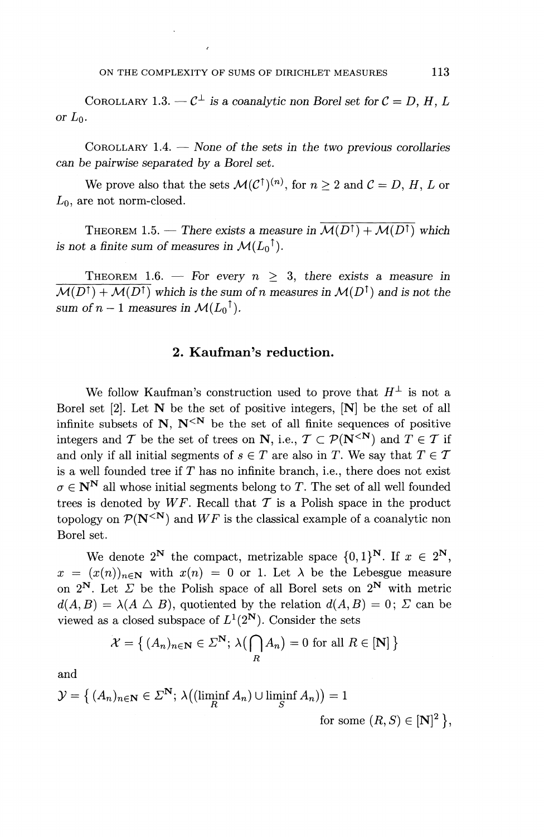COROLLARY 1.3.  $-C^{\perp}$  is a coanalytic non Borel set for  $C = D, H, L$ *or*  $L_0$ .

COROLLARY 1.4. — None *of the sets in the two previous corollaries can be pairwise separated by a Borel set.*

We prove also that the sets  $\mathcal{M}(\mathcal{C}^{\uparrow})^{(n)}$ , for  $n \geq 2$  and  $\mathcal{C} = D, H, L$  or  $L_0$ , are not norm-closed.

THEOREM 1.5. — There exists a measure in  $\overline{M(D^{\uparrow}) + M(D^{\uparrow})}$  which *is not a finite sum of measures in*  $\mathcal{M}(L_0^{\dagger})$ .

THEOREM 1.6. — For every  $n > 3$ , there exists a measure in  $M(D^{\dagger}) + M(D^{\dagger})$  which is the sum of n measures in  $M(D^{\dagger})$  and is not the *sum of n – 1 measures in*  $\mathcal{M}(L_0^{\dagger})$ .

# **2. Kaufman's reduction.**

We follow Kaufman's construction used to prove that  $H^{\perp}$  is not a Borel set  $[2]$ . Let  $N$  be the set of positive integers,  $[N]$  be the set of all infinite subsets of N,  $N^{\langle N\rangle}$  be the set of all finite sequences of positive integers and T be the set of trees on N, i.e.,  $T \subset \mathcal{P}(N^{\le N})$  and  $T \in \mathcal{T}$  if and only if all initial segments of  $s \in T$  are also in *T*. We say that  $T \in T$ is a well founded tree if *T* has no infinite branch, i.e., there does not exist  $\sigma \in \mathbb{N}^{\mathbb{N}}$  all whose initial segments belong to *T*. The set of all well founded trees is denoted by  $WF$ . Recall that  $T$  is a Polish space in the product topology on  $\mathcal{P}(N^{\leq N})$  and  $WF$  is the classical example of a coanalytic non Borel set.

We denote  $2^N$  the compact, metrizable space  $\{0, 1\}^N$ . If  $x \in 2^N$ ,  $x = (x(n))_{n \in \mathbb{N}}$  with  $x(n) = 0$  or 1. Let  $\lambda$  be the Lebesgue measure on  $2^N$ . Let  $\Sigma$  be the Polish space of all Borel sets on  $2^N$  with metric  $d(A, B) = \lambda(A \bigtriangleup B)$ , quotiented by the relation  $d(A, B) = 0$ ;  $\Sigma$  can be viewed as a closed subspace of  $L^1(2^N)$ . Consider the sets

$$
\mathcal{X} = \left\{ (A_n)_{n \in \mathbf{N}} \in \mathcal{Z}^{\mathbf{N}}; \lambda \left( \bigcap_{R} A_n \right) = 0 \text{ for all } R \in [\mathbf{N}] \right\}
$$

and

$$
\mathcal{Y} = \left\{ (A_n)_{n \in \mathbf{N}} \in \mathcal{Z}^{\mathbf{N}}; \lambda\big( (\liminf_{R} A_n) \cup \liminf_{S} A_n) \big) = 1 \right\}
$$

for some  $(R, S) \in [N]^2$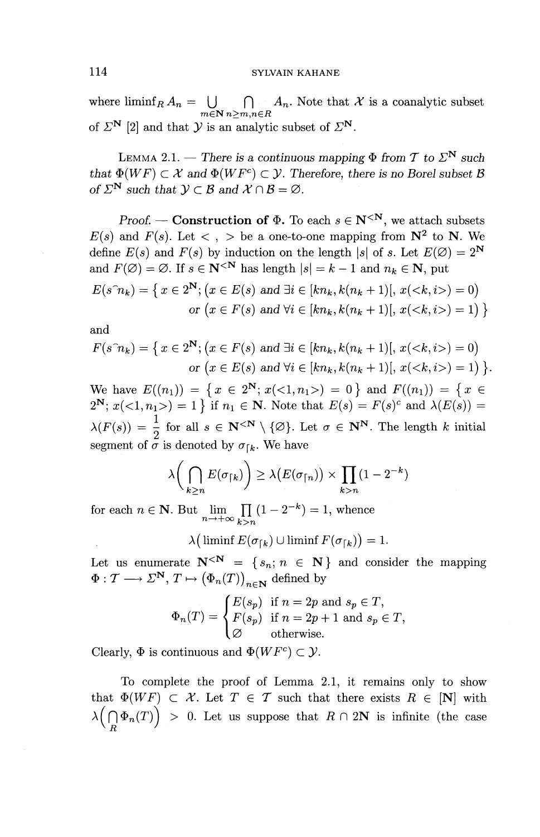where  $\liminf_{R} A_n = \bigcup_{R} \bigcap_{R} A_n$ . Note that X is a coanalytic subset  $m \in \mathbb{N}$   $n > m, n \in \mathbb{R}$ of  $\mathbb{Z}^{\mathbf{N}}$  [2] and that  $\mathcal{Y}$  is an analytic subset of  $\mathbb{Z}^{\mathbf{N}}$ .

LEMMA 2.1. — There is a continuous mapping  $\Phi$  from T to  $\mathbb{Z}^N$  such *that*  $\Phi(WF) \subset \mathcal{X}$  and  $\Phi(WF^c) \subset \mathcal{Y}$ . Therefore, there is no Borel subset B of  $\Sigma^N$  such that  $\mathcal{Y} \subset \mathcal{B}$  and  $\mathcal{X} \cap \mathcal{B} = \emptyset$ .

Proof. — **Construction of**  $\Phi$ . To each  $s \in \mathbb{N}^{\leq N}$ , we attach subsets  $E(s)$  and  $F(s)$ . Let  $\langle , \rangle$  be a one-to-one mapping from  $N^2$  to N. We define  $E(s)$  and  $F(s)$  by induction on the length  $|s|$  of *s*. Let  $E(\emptyset) = 2^N$ and  $F(\emptyset) = \emptyset$ . If  $s \in \mathbb{N}^{\leq N}$  has length  $|s| = k-1$  and  $n_k \in \mathbb{N}$ , put  $E(s^m k) = \{x \in 2^N; (x \in E(s) \text{ and } \exists i \in [kn_k, k(n_k+1)], x() = 0\}$ or  $(x \in F(s)$  and  $\forall i \in [kn_k, k(n_k + 1)], x() = 1$ 

and

$$
F(s^n_k) = \{ x \in 2^N; (x \in F(s) \text{ and } \exists i \in [kn_k, k(n_k+1)], x() = 0 \}
$$
  
or  $(x \in E(s) \text{ and } \forall i \in [kn_k, k(n_k+1)], x() = 1 \}.$ 

We have  $E((n_1)) = \{x \in 2^N; x(<1,n_1>) = 0 \}$  and  $F((n_1)) = \{x \in$  $2^N$ ;  $x(<1, n_1>)=1$  if  $n_1 \in N$ . Note that  $E(s) = F(s)^c$  and  $\lambda(E(s)) =$  $\lambda(F(s)) = \frac{1}{s}$  for all  $s \in \mathbb{N}^{\leq N} \setminus \{\emptyset\}$ . Let  $\sigma \in \mathbb{N}^N$ . The length k initial segment of  $\sigma$  is denoted by  $\sigma_{\text{th}}$ . We have

$$
\lambda\bigg(\bigcap_{k\geq n} E(\sigma_{\lceil k})\bigg) \geq \lambda\big(E(\sigma_{\lceil n})\big) \times \prod_{k>n} (1-2^{-k})
$$

for each  $n \in \mathbb{N}$ . But  $\lim_{k \to \infty} \prod_{k=1}^{k>n} (1 - 2^{-k}) = 1$ , whence  $\lim_{n\to+\infty}\prod_{k>0}$ 

 $\lambda(\liminf E(\sigma_{\lceil k}) \cup \liminf F(\sigma_{\lceil k}) ) = 1.$ 

Let us enumerate  $\mathbf{N}^{\leq N} = \{s_n; n \in \mathbf{N}\}\$  and consider the mapping Let us enumerate  $N^{\leq N} = \{s_n; n \in N$ <br>  $\Phi: \mathcal{T} \longrightarrow \Sigma^N, T \mapsto (\Phi_n(T))$  exclude by

$$
\Phi_n(T) = \begin{cases} E(s_p) & \text{if } n = 2p \text{ and } s_p \in T, \\ F(s_p) & \text{if } n = 2p + 1 \text{ and } s_p \in T, \\ \varnothing & \text{otherwise.} \end{cases}
$$

Clearly,  $\Phi$  is continuous and  $\Phi(WF^c) \subset \mathcal{Y}$ .

To complete the proof of Lemma 2.1, it remains only to show that  $\Phi(WF) \subset \mathcal{X}$ . Let  $T \in \mathcal{T}$  such that there exists  $R \in [\mathbf{N}]$  with  $\lambda(\bigcap \Phi_n(T))$  > 0. Let us suppose that  $R \cap 2N$  is infinite (the case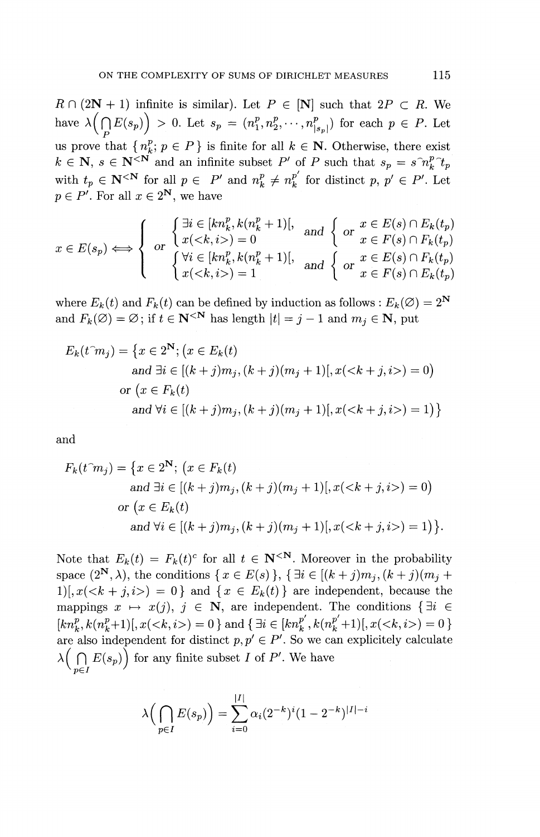$R \cap (2N + 1)$  infinite is similar). Let  $P \in [N]$  such that  $2P \subset R$ . We have  $\lambda\left(\bigcap_{p} E(s_p)\right) > 0$ . Let  $s_p = (n^p_1, n^p_2, \cdots, n^p_{|s_p|})$  for each  $p \in P$ . Let us prove that  $\{n^p, p \in P\}$  is finite for all  $k \in \mathbb{N}$ . Otherwise, there exist *k*  $\in \mathbb{N}$ ,  $s \in \mathbb{N}^{<\mathbb{N}}$  and an infinite subset *P'* of *P* such that  $s_n = s^{\gamma_n^n} t_n$  $k \in \mathbb{N}$ ,  $s \in \mathbb{N}^{\leq N}$  and an infinite subset P' of P such that  $s_p = s^{\gamma} n_k^p \hat{\tau}_t$  with  $t_p \in \mathbb{N}^{\leq N}$  for all  $p \in P'$  and  $n_k^p \neq n_k^{p'}$  for distinct p,  $p' \in P'$ . Let when  $v_p \in \mathbb{R}^r$  for all  $x \in 2^N$ , we have

$$
p \in P'. \text{ For all } x \in 2^N, \text{ we have}
$$
\n
$$
x \in E(s_p) \iff \begin{cases} \exists i \in [kn_k^p, k(n_k^p + 1)], & \text{and } \left\{ \text{ or } x \in E(s) \cap E_k(t_p) \right\} \\ x \in E(s_p) \iff \begin{cases} \forall i \in [kn_k^p, k(n_k^p + 1)], & \text{and } \left\{ \text{ or } x \in F(s) \cap F_k(t_p) \right\} \\ \forall i \in [kn_k^p, k(n_k^p + 1)], & \text{and } \left\{ \text{ or } x \in E(s) \cap F_k(t_p) \right\} \\ x < k, i > \left. \right) = 1 \end{cases}
$$

where  $E_k(t)$  and  $F_k(t)$  can be defined by induction as follows :  $E_k(\emptyset) = 2^N$  and  $F_k(\emptyset) = \emptyset$ ; if  $t \in \mathbb{N}^{N}$  has length  $|t| = j - 1$  and  $m_j \in \mathbb{N}$ , put and  $F_k(\emptyset) = \emptyset$ ; if  $t \in \mathbb{N}^{\leq N}$  has length  $|t| = j - 1$  and  $m_j \in \mathbb{N}$ , put

$$
E_k(t^m j) = \{x \in 2^N; (x \in E_k(t))
$$
  
and  $\exists i \in [(k + j)m_j, (k + j)(m_j + 1)], x() = 0\}$   
or  $(x \in F_k(t))$   
and  $\forall i \in [(k + j)m_j, (k + j)(m_j + 1)], x() = 1\}$ 

and

$$
F_k(t^m j) = \{x \in 2^N; (x \in F_k(t))
$$
  
and  $\exists i \in [(k + j)m_j, (k + j)(m_j + 1)], x() = 0\}$   
or  $(x \in E_k(t))$   
and  $\forall i \in [(k + j)m_j, (k + j)(m_j + 1)], x() = 1\}.$ 

Note that  $E_k(t) = F_k(t)^c$  for all  $t \in \mathbb{N}^{\leq N}$ . Moreover in the probability space  $(2^{\mathbf{N}}, \lambda)$ , the conditions  $\{ x \in E(s) \}, \{ \exists i \in [(k + j)m_{i}, (k + j)(m_{i} +$  $1\vert x(x+k+j,z)=0\}$  and  $\{x \in E_k(t)\}$  are independent, because the mappings  $x \mapsto x(j), j \in \mathbb{N}$ , are independent. The conditions  $\{ \exists i \in \mathbb{N} \mid j \in \mathbb{N} \}$  $[kn_k^p, k(n_k^p+1)], x() = 0$  and  $\{\exists i \in [kn_k^{p'}, k(n_k^{p'}+1)], x($ are also independent for distinct  $p, p' \in P'$ . So we can explicitely calculate  $\lambda \Big( \bigcap_{n \in I} E(s_p) \Big)$  for any finite subset *I* of *P'*. We have

$$
\lambda\Big(\bigcap_{p\in I} E(s_p)\Big) = \sum_{i=0}^{|I|} \alpha_i (2^{-k})^i (1 - 2^{-k})^{|I|-i}
$$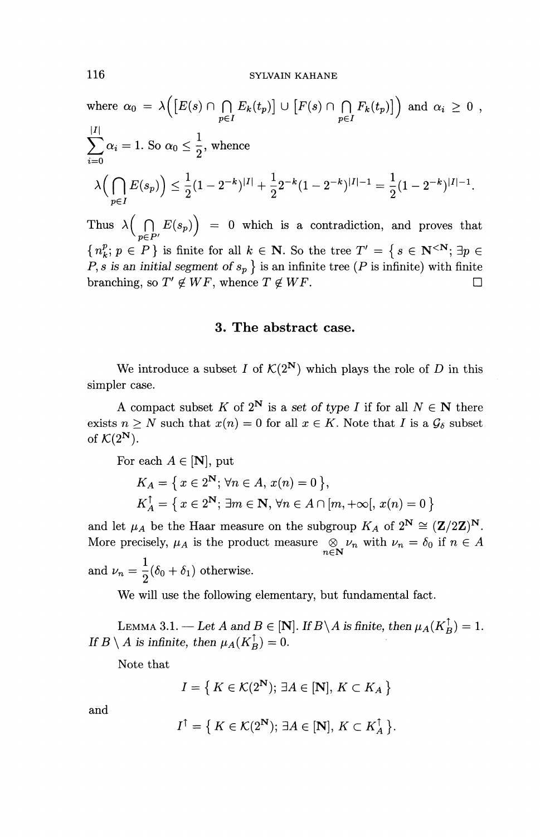where 
$$
\alpha_0 = \lambda \Big( [E(s) \cap \bigcap_{p \in I} E_k(t_p)] \cup [F(s) \cap \bigcap_{p \in I} F_k(t_p)] \Big)
$$
 and  $\alpha_i \ge 0$ ,  
\n
$$
\sum_{i=0}^{|I|} \alpha_i = 1.
$$
 So  $\alpha_0 \le \frac{1}{2}$ , whence
$$
\lambda \Big( \bigcap_{p \in I} E(s_p) \Big) \le \frac{1}{2} (1 - 2^{-k})^{|I|} + \frac{1}{2} 2^{-k} (1 - 2^{-k})^{|I|-1} = \frac{1}{2} (1 - 2^{-k})^{|I|-1}.
$$

Thus  $\lambda\Big(\bigcap_{p\in P'} E(s_p)\Big) = 0$  which is a contradiction, and proves that  ${n^p_k; p \in P}$  is finite for all  $k \in \mathbb{N}$ . So the tree  $T' = \{ s \in \mathbb{N}^{\leq N}; \exists p \in P$  $P, s$  is an initial segment of  $s_p$  } is an infinite tree (P is infinite) with finite branching, so  $T' \notin WF$ , whence  $T \notin WF$ .

# **3. The abstract case.**

We introduce a subset *I* of  $\mathcal{K}(2^N)$  which plays the role of *D* in this simpler case.

A compact subset *K* of  $2^N$  is a set of type *I* if for all  $N \in \mathbb{N}$  there exists  $n \geq N$  such that  $x(n) = 0$  for all  $x \in K$ . Note that *I* is a  $\mathcal{G}_{\delta}$  subset of  $\mathcal{K}(2^N)$ .

For each 
$$
A \in [\mathbf{N}]
$$
, put  
\n
$$
K_A = \{ x \in 2^{\mathbf{N}}; \forall n \in A, x(n) = 0 \},
$$
\n
$$
K_A^{\uparrow} = \{ x \in 2^{\mathbf{N}}; \exists m \in \mathbf{N}, \forall n \in A \cap [m, +\infty[, x(n) = 0 \}
$$

and let  $\mu_A$  be the Haar measure on the subgroup  $K_A$  of  $2^N \cong (\mathbf{Z}/2\mathbf{Z})^N$ and let  $\mu_A$  be the Haar measure on the subgroup  $K_A$  or  $Z^* \equiv (Z/Z)$ .<br>More precisely,  $\mu_A$  is the product measure  $\bigotimes_{n \in \mathbb{N}} \nu_n$  with  $\nu_n = \delta_0$  if  $n \in A$ and  $\nu_n = \frac{1}{2}(\delta_0+\delta_1)$  otherwise.

We will use the following elementary, but fundamental fact.

LEMMA 3.1. — Let A and  $B \in [N]$ . If  $B \setminus A$  is finite, then  $\mu_A(K_B^{\uparrow}) = 1$ . *If*  $B \setminus A$  *is infinite, then*  $\mu_A(K_B^{\uparrow}) = 0$ .

Note that

$$
I = \left\{ \, K \in \mathcal{K}(2^{\mathbf{N}}); \, \exists A \in [\mathbf{N}], \, K \subset K_A \, \right\}
$$

and

$$
I^{\uparrow} = \{ K \in \mathcal{K}(2^{\mathbf{N}}); \, \exists A \in [\mathbf{N}], \, K \subset K_A^{\uparrow} \}.
$$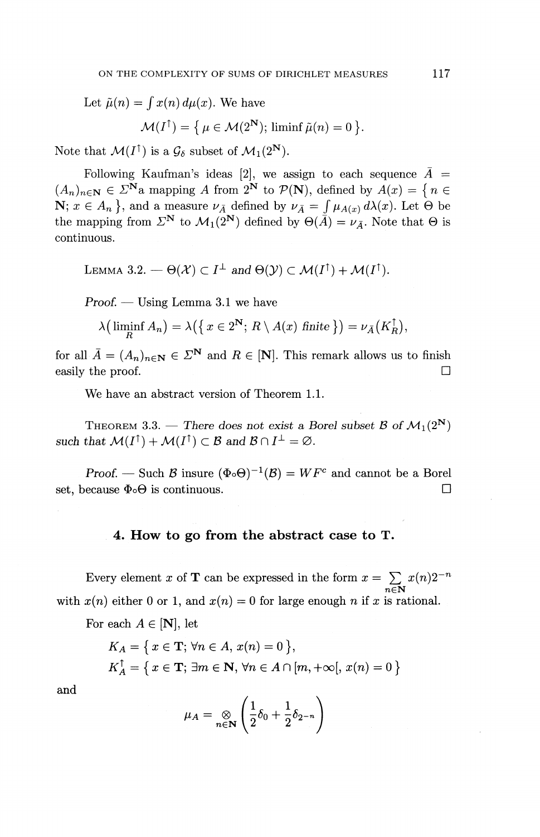Let  $\tilde{\mu}(n) = \int x(n) d\mu(x)$ . We have  $\mathcal{M}(I^{\uparrow}) = \{ \mu \in \mathcal{M}(2^{\mathbf{N}}); \liminf \tilde{\mu}(n)=0 \}$ .

Note that  $\mathcal{M}(I^{\uparrow})$  is a  $\mathcal{G}_{\delta}$  subset of  $\mathcal{M}_1(2^{\mathbf{N}})$ .

Following Kaufman's ideas [2], we assign to each sequence  $\bar{A}$  =  $(A_n)_{n\in\mathbb{N}} \in \mathbb{Z}^{\mathbb{N}}$ a mapping A from  $2^{\mathbb{N}}$  to  $\mathcal{P}(\mathbb{N})$ , defined by  $A(x) = \{n \in \mathbb{N}\}$  $\mathbf{N}; x \in A_n$ , and a measure  $\nu_{\bar{A}}$  defined by  $\nu_{\bar{A}} = \int \mu_{A(x)} d\lambda(x)$ . Let  $\Theta$  be the mapping from  $\Sigma^N$  to  $\mathcal{M}_1(2^N)$  defined by  $\Theta(\overline{A}) = \nu_{\overline{A}}$ . Note that  $\Theta$  is continuous.

LEMMA 3.2. 
$$
-\Theta(\mathcal{X}) \subset I^{\perp}
$$
 and  $\Theta(\mathcal{Y}) \subset \mathcal{M}(I^{\uparrow}) + \mathcal{M}(I^{\uparrow})$ .

*Proof. —* Using Lemma 3.1 we have

$$
\begin{aligned}\n\text{coof.} &\longrightarrow \text{Using Lemma 3.1 we have} \\
\lambda \left( \liminf_{R} A_n \right) &= \lambda \left( \left\{ x \in 2^{\mathbf{N}}; R \setminus A(x) \text{ finite } \right\} \right) = \nu_{\bar{A}} \left( K_R^{\uparrow} \right),\n\end{aligned}
$$

for all  $\overline{A} = (A_n)_{n \in \mathbb{N}} \in \mathbb{Z}^{\mathbb{N}}$  and  $R \in [\mathbb{N}]$ . This remark allows us to finish easily the proof.  $\Box$ 

We have an abstract version of Theorem 1.1.

THEOREM 3.3. — There does not exist a Borel subset B of  $\mathcal{M}_1(2^{\mathbf{N}})$ such that  $M(I^{\dagger}) + M(I^{\dagger}) \subset B$  and  $B \cap I^{\perp} = \emptyset$ .

*Proof.* — Such  $\beta$  insure  $(\Phi \circ \Theta)^{-1}(\beta) = WF^c$  and cannot be a Borel set, because  $\Phi \circ \Theta$  is continuous.

### **4. How to go from the abstract case to T.**

Every element x of **T** can be expressed in the form  $x = \sum_{n \in \mathbb{N}} x(n)2^{-n}$ with  $x(n)$  either 0 or 1, and  $x(n) = 0$  for large enough *n* if *x* is rational.

For each  $A \in [\mathbf{N}]$ , let

$$
K_A = \{ x \in \mathbf{T}; \forall n \in A, x(n) = 0 \},
$$
  

$$
K_A^{\dagger} = \{ x \in \mathbf{T}; \exists m \in \mathbf{N}, \forall n \in A \cap [m, +\infty[, x(n) = 0 \}
$$

and

$$
\mu_A = \bigotimes_{n \in \mathbf{N}} \left( \frac{1}{2} \delta_0 + \frac{1}{2} \delta_{2^{-n}} \right)
$$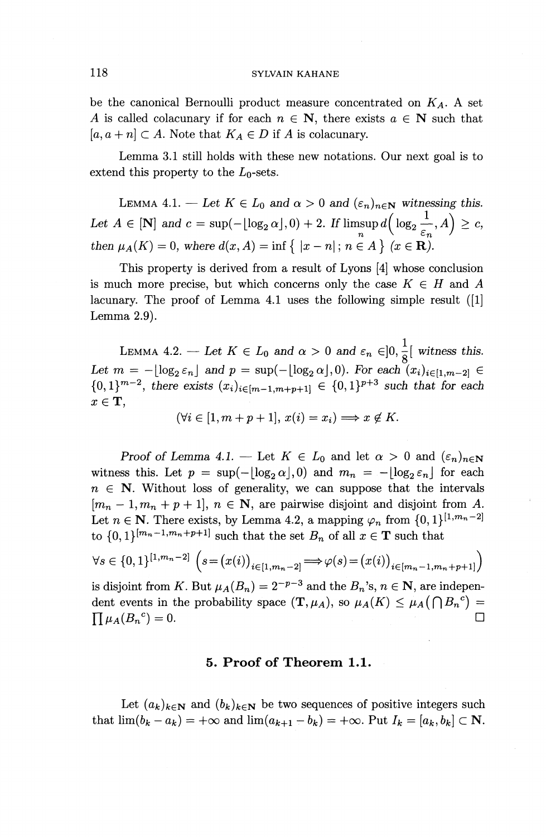#### 118 SYLVAIN KAHANE

be the canonical Bernoulli product measure concentrated on *KA-* A set A is called colacunary if for each  $n \in \mathbb{N}$ , there exists  $a \in \mathbb{N}$  such that  $[a, a + n] \subset A$ . Note that  $K_A \in D$  if A is colacunary.

Lemma 3.1 still holds with these new notations. Our next goal is to extend this property to the  $L_0$ -sets.

LEMMA 4.1. — Let  $K \in L_0$  and  $\alpha > 0$  and  $(\varepsilon_n)_{n \in \mathbb{N}}$  witnessing this. Let  $A \in [\mathbf{N}]$  and  $c = \sup(-\lfloor \log_2 \alpha \rfloor, 0) + 2$ . If  $\limsup_n d\left(\log_2 \frac{1}{\varepsilon_n}, A\right) \geq c$ , *then*  $\mu_A(K) = 0$ , where  $d(x, A) = \inf \{ |x - n|; n \in A \}$  ( $x \in \mathbb{R}$ ).

This property is derived from a result of Lyons [4] whose conclusion is much more precise, but which concerns only the case  $K \in H$  and A lacunary. The proof of Lemma 4.1 uses the following simple result ([1] Lemma 2.9).

LEMMA 4.2. — Let  $K \in L_0$  and  $\alpha > 0$  and  $\varepsilon_n \in ]0, \frac{1}{8} [$  witness this. *Let*  $m = -\lfloor \log_2 \varepsilon_n \rfloor$  and  $p = \sup(-\lfloor \log_2 \alpha \rfloor, 0)$ . For each  $(x_i)_{i \in [1,m-2]} \in$  ${0,1}^{m-2}$ , there exists  $(x_i)_{i \in [m-1,m+p+1]} \in {0,1}^{p+3}$  such that for each  $x \in \mathbf{T}$ ,

 $(\forall i \in [1, m+p+1], x(i) = x_i) \Longrightarrow x \notin K.$ 

*Proof of Lemma 4.1.* – Let  $K \in L_0$  and let  $\alpha > 0$  and  $(\varepsilon_n)_{n \in \mathbb{N}}$ witness this. Let  $p = \sup(-\lfloor \log_2 \alpha \rfloor, 0)$  and  $m_n = -\lfloor \log_2 \varepsilon_n \rfloor$  for each  $n \in \mathbb{N}$ . Without loss of generality, we can suppose that the intervals  $[m_n - 1, m_n + p + 1], n \in \mathbb{N}$ , are pairwise disjoint and disjoint from A. Let  $n \in \mathbb{N}$ . There exists, by Lemma 4.2, a mapping  $\varphi_n$  from  $\{0, 1\}^{[1, m_n - 2]}$ to  $\{0, 1\}^{[m_n-1,m_n+p+1]}$  such that the set  $B_n$  of all  $x \in \mathbf{T}$  such that

$$
\forall s \in \{0,1\}^{[1,m_n-2]} \left( s = (x(i))_{i \in [1,m_n-2]} \Longrightarrow \varphi(s) = (x(i))_{i \in [m_n-1,m_n+p+1]} \right)
$$

is disjoint from K. But  $\mu_A(B_n) = 2^{-p-3}$  and the  $B_n$ 's,  $n \in \mathbb{N}$ , are independent events in the probability space  $(\mathbf{T},\mu_A)$ , so  $\mu_A(K) \leq \mu_A(\bigcap B_n^c)$ dent events in the probability space  $(1, \mu_A)$ , so  $\mu_A(\Lambda) \le \mu_A(1 + \nu_B) - \prod \mu_A(B_n{}^c) = 0.$ 

# **5. Proof of Theorem 1.1.**

Let  $(a_k)_{k\in\mathbb{N}}$  and  $(b_k)_{k\in\mathbb{N}}$  be two sequences of positive integers such that  $\lim(b_k - a_k) = +\infty$  and  $\lim(a_{k+1} - b_k) = +\infty$ . Put  $I_k = [a_k, b_k] \subset \mathbb{N}$ .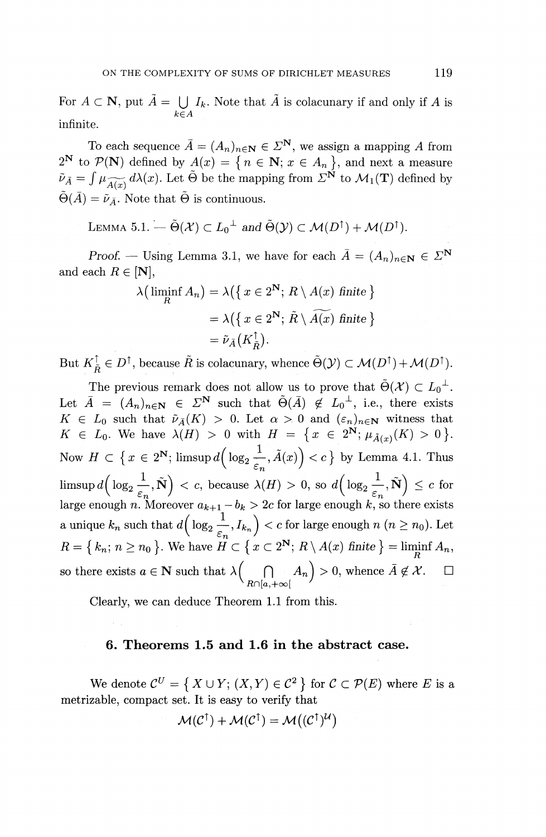For  $A \subset \mathbf{N}$ , put  $\tilde{A} = \bigcup I_k$ . Note that  $\tilde{A}$  is colacunary if and only if A is  $k\leq A$ infinite.

To each sequence  $\overline{A} = (A_n)_{n \in \mathbb{N}} \in \Sigma^{\mathbb{N}}$ , we assign a mapping A from  $2^{\mathbf{N}}$  to  $\mathcal{P}(\mathbf{N})$  defined by  $A(x) = \{n \in \mathbf{N}; x \in A_n\}$ , and next a measure  $2^N$  to  $\mathcal{P}(\mathbf{N})$  defined by  $A(x) = \{ n \in \mathbf{N}; x \in A_n \}$ , and next a measure  $\tilde{\nu}_{\bar{A}} = \int \mu_{\widetilde{A}(x)} d\lambda(x)$ . Let  $\tilde{\Theta}$  be the mapping from  $\Sigma^N$  to  $\mathcal{M}_1(\mathbf{T})$  defined by  $\tilde{\Theta}(\bar{A}) = \tilde{\nu}_{\bar{A}}$ . Note that  $\tilde{\Theta}$  is continuous.

LEMMA 5.1.  $-\tilde{\Theta}(\mathcal{X}) \subset L_0^{\perp}$  and  $\tilde{\Theta}(\mathcal{Y}) \subset \mathcal{M}(D^{\uparrow}) + \mathcal{M}(D^{\uparrow}).$ 

*Proof.* — Using Lemma 3.1, we have for each  $\overline{A} = (A_n)_{n \in \mathbb{N}} \in \mathbb{Z}^{\mathbb{N}}$ <br>ach  $R \in [\mathbb{N}],$ <br> $\lambda(\liminf_{R} A_n) = \lambda(\{x \in 2^{\mathbb{N}}; R \setminus A(x) \text{ finite}\})$ and each  $R \in [\mathbf{N}]$ ,

$$
\lambda\left(\liminf_{R} A_{n}\right) = \lambda\left(\left\{x \in 2^{\mathbf{N}}; R\setminus A(x) \text{ finite }\right\}\right)
$$

$$
= \lambda\left(\left\{x \in 2^{\mathbf{N}}; \tilde{R}\setminus \widetilde{A(x)} \text{ finite }\right\}\right)
$$

$$
= \tilde{\nu}_{\tilde{A}}\left(K_{\tilde{R}}^{\uparrow}\right).
$$

But  $K_{\tilde{B}}^{\uparrow} \in D^{\uparrow}$ , because  $\tilde{R}$  is colacunary, whence  $\tilde{\Theta}(\mathcal{Y}) \subset \mathcal{M}(D^{\uparrow})+\mathcal{M}(D^{\uparrow}).$ 

The previous remark does not allow us to prove that  $\tilde{\Theta}(\mathcal{X}) \subset L_0^{\perp}$ . Let  $\overline{A} = (A_n)_{n \in \mathbb{N}} \in \Sigma^{\mathbb{N}}$  such that  $\widetilde{\Theta}(\overline{A}) \notin L_0^{\perp}$ , i.e., there exists  $K \in L_0$  such that  $\tilde{\nu}_{\bar{A}}(K) > 0$ . Let  $\alpha > 0$  and  $(\varepsilon_n)_{n \in \mathbb{N}}$  witness that  $K \in L_0$ . We have  $\lambda(H) > 0$  with  $H = \{x \in 2^N; \mu_{\tilde{A}(x)}(K) > 0\}$ . Now  $H \subset \left\{ x \in 2^N; \text{limsup} \, d\left( \log_2 \frac{1}{\varepsilon_n}, \tilde{A}(x) \right) < c \right\}$  by Lemma 4.1. Thus  $\limsup d\Big(\log_2\frac{1}{\varepsilon_n},\tilde{\mathbf{N}}\Big) < c, \text{ because } \lambda(H)>0, \text{ so } d\Big(\log_2\frac{1}{\varepsilon_n},\tilde{\mathbf{N}}\Big) \leq c \, \text{ for }$ large enough n. Moreover  $a_{k+1} - b_k > 2c$  for large enough  $k$ , so there exists  $\alpha$  unique  $k_n$  such that  $d\Big(\log_2\frac{1}{\varepsilon_n}, I_{k_n}\Big) < c$  for large enough  $n \ (n \geq n_0).$  Let  $R = \{k_n; n \geq n_0\}$ . We have  $H \subset \{x \subset 2^N; R \setminus A(x) \text{ finite }\} = \liminf_R A_n,$ so there exists  $a \in \mathbb{N}$  such that  $\lambda \Big( \bigcap_{R \cap [a, +\infty[} A_n \Big) > 0$ , whence  $\bar{A} \notin \mathcal{X}$ .  $\square$ 

Clearly, we can deduce Theorem 1.1 from this.

# **6. Theorems 1.5 and 1.6 in the abstract case.**

We denote  $\mathcal{C}^U = \{ X \cup Y : (X, Y) \in \mathcal{C}^2 \}$  for  $\mathcal{C} \subset \mathcal{P}(E)$  where E is a metrizable, compact set. It is easy to verify that

$$
\mathcal{M}(\mathcal{C}^{\uparrow}) + \mathcal{M}(\mathcal{C}^{\uparrow}) = \mathcal{M}((\mathcal{C}^{\uparrow})^{\mathcal{U}})
$$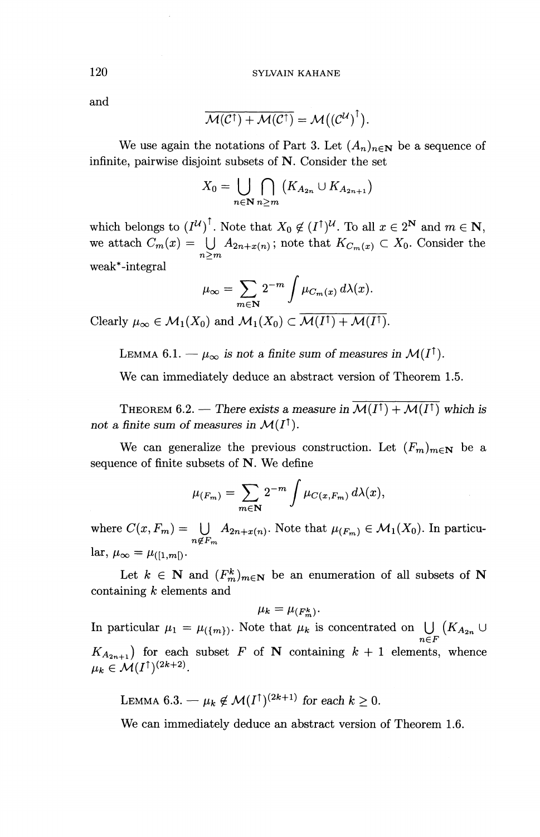and

$$
\overline{\mathcal{M}(\mathcal{C}^{\dagger}) + \mathcal{M}(\mathcal{C}^{\dagger})} = \mathcal{M}({(\mathcal{C}^{\mathcal{U}})}^{\dagger}).
$$

We use again the notations of Part 3. Let  $(A_n)_{n\in\mathbb{N}}$  be a sequence of infinite, pairwise disjoint subsets of N. Consider the set

$$
X_0 = \bigcup_{n \in \mathbb{N}} \bigcap_{n \ge m} \left( K_{A_{2n}} \cup K_{A_{2n+1}} \right)
$$

which belongs to  $(I^{\mathcal{U}})^{\dagger}$ . Note that  $X_0 \notin (I^{\dagger})^{\mathcal{U}}$ . To all  $x \in 2^{\mathbf{N}}$  and  $m \in \mathbf{N}$ which belongs to  $(I^{\alpha})$ . Note that  $X_0 \notin (I^{\alpha})^{\alpha}$ . To all  $x \in 2^{\alpha}$  and  $m \in \mathbb{N}$ <br>we attach  $C_m(x) = \bigcup_{n>m} A_{2n+x(n)}$ ; note that  $K_{C_m(x)} \subset X_0$ . Consider the weak\*-integral

$$
\mu_{\infty} = \sum_{m \in \mathbb{N}} 2^{-m} \int \mu_{C_m(x)} d\lambda(x).
$$

Clearly  $\mu_{\infty} \in \mathcal{M}_1(X_0)$  and  $\mathcal{M}_1(X_0) \subset \overline{\mathcal{M}(I^{\dagger}) +\mathcal{M}(I^{\dagger})}.$ 

LEMMA 6.1. —  $\mu_{\infty}$  is not a finite sum of measures in  $\mathcal{M}(I^{\uparrow})$ .

We can immediately deduce an abstract version of Theorem 1.5.

THEOREM 6.2. — There exists a measure in  $\overline{\mathcal{M}(I^{\dagger}) + \mathcal{M}(I^{\dagger})}$  which is not a finite sum of measures in  $\mathcal{M}(I^{\dagger})$ .

We can generalize the previous construction. Let  $(F_m)_{m \in \mathbb{N}}$  be a sequence of finite subsets of N. We define

$$
\mu_{(F_m)} = \sum_{m \in \mathbf{N}} 2^{-m} \int \mu_{C(x, F_m)} d\lambda(x),
$$

where  $C(x, F_m) = \bigcup_{n \notin F_m} A_{2n+x(n)}$ . Note that  $\mu_{(F_m)} \in M_1(X_0)$ . In particu- $\text{lar}, \mu_{\infty} = \mu_{([1,m])}.$ 

Let  $k \in \mathbb{N}$  and  $(F^k_m)_{m \in \mathbb{N}}$  be an enumeration of all subsets of N containing *k* elements and

$$
\mu_k = \mu_{(F_m^k)}.
$$

In particular  $\mu_1 = \mu_{\{m\}}$ . Note that  $\mu_k$  is concentrated on  $\bigcup_{n\in F} (K_{A_{2n}} \cup$  $K_{A_{2n+1}}$ ) for each subset *F* of **N** containing  $k + 1$  elements, whence  $\Lambda_{A_{2n+1}}$  for each<br> $\mu_k \in \mathcal{M}(I^{\uparrow})^{(2k+2)}$ 

LEMMA 6.3.  $-\mu_k \notin \mathcal{M}(I^{\dagger})^{(2k+1)}$  for each  $k \geq 0$ .

We can immediately deduce an abstract version of Theorem 1.6.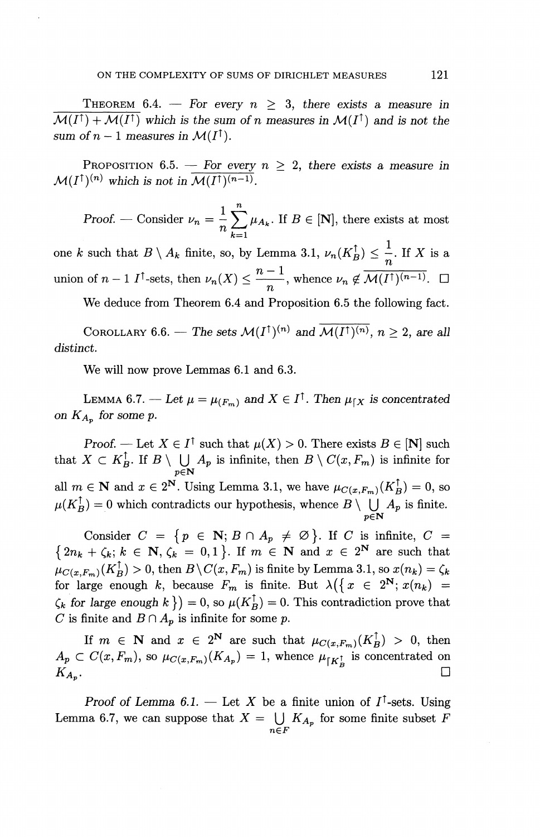THEOREM 6.4. – For every  $n \geq 3$ , there exists a measure in  $\mathcal{M}(I^{\uparrow}) + \mathcal{M}(I^{\uparrow})$  which is the sum of *n* measures in  $\mathcal{M}(I^{\uparrow})$  and is not the *sum of n – 1 measures in*  $\mathcal{M}(I^{\dagger}).$ 

PROPOSITION 6.5. – For every  $n \geq 2$ , there exists a measure in  $\mathcal{M}(I^{\uparrow})^{(n)}$  which is not in  $\overline{\mathcal{M}(I^{\uparrow})^{(n-1)}}$ .

Proof. — Consider  $\nu_n = \frac{1}{n} \sum_{k=1}^n \mu_{A_k}$ . If  $B \in [\mathbf{N}]$ , there exists at most Proof. — Consider  $\nu_n = \frac{1}{n} \sum_{k=1}^n \mu_{A_k}$ . If  $B \in [\mathbf{N}]$ , there exists at most<br>one *k* such that  $B \setminus A_k$  finite, so, by Lemma 3.1,  $\nu_n(K_B^{\uparrow}) \leq \frac{1}{n}$ . If *X* is a

union of  $n - 1$   $I^{\dagger}$ -sets, then  $\nu_n(X) \leq \frac{n-1}{n}$ , whence  $\nu_n \notin \overline{\mathcal{M}(I^{\dagger})^{(n-1)}}$ .  $\Box$ 

We deduce from Theorem 6.4 and Proposition 6.5 the following fact.

COROLLARY 6.6. — The sets  $\mathcal{M}(I^{\uparrow})^{(n)}$  and  $\overline{\mathcal{M}(I^{\uparrow})^{(n)}}$ ,  $n \geq 2$ , are all *distinct.*

We will now prove Lemmas 6.1 and 6.3.

LEMMA 6.7. — Let  $\mu = \mu_{(F_m)}$  and  $X \in I^{\dagger}$ . Then  $\mu_{[X]}$  is concentrated *on*  $K_{A_p}$  *for some p.* 

*Proof.* — Let  $X \in I^{\dagger}$  such that  $\mu(X) > 0$ . There exists  $B \in [N]$  such on  $A_{A_p}$  for some p.<br>
Proof. — Let  $X \in I^{\dagger}$  such that  $\mu(X) > 0$ . There exists  $B \in [\mathbf{N}]$  such that  $X \subset K_B^{\dagger}$ . If  $B \setminus \bigcup_{p \in \mathbf{N}} A_p$  is infinite, then  $B \setminus C(x, F_m)$  is infinite for all  $m \in \mathbb{N}$  and  $x \in 2^{\mathbb{N}}$ . Using Lemma 3.1, we have  $\mu_{C(x,F_m)}(K_R^{\uparrow}) = 0$ , so between  $A \subseteq R_B$ . If  $B \setminus \bigcup_{p \in \mathbb{N}} A_p$  is finite, then  $B \setminus \bigcup_{r \in \mathbb{N}} (X_r^{\dagger}) = 0$ , so and  $x \in 2^{\mathbb{N}}$ . Using Lemma 3.1, we have  $\mu_{C(x, F_m)}(K_B^{\dagger}) = 0$ , so  $\mu(K_B^{\dagger}) = 0$  which contradicts our hypothesis, whence

Consider  $C = \{p \in \mathbb{N}; B \cap A_p \neq \emptyset\}$ . If C is infinite,  $C =$  $\{2n_k + \zeta_k; k \in \mathbb{N}, \zeta_k = 0,1\}$ . If  $m \in \mathbb{N}$  and  $x \in 2^{\mathbb{N}}$  are such that  $\mu_{C(x,F_m)}(K_B^{\uparrow}) > 0$ , then  $B\setminus C(x, F_m)$  is finite by Lemma 3.1, so  $x(n_k) = \zeta_k$ for large enough k, because  $F_m$  is finite. But  $\lambda(\{x \in 2^N; x(n_k) =$  $\mathcal{L}_{k}$  for large enough  $k \}$  = 0, so  $\mu(K_{B}^{\uparrow})=0$ . This contradiction prove that *C* is finite and  $B \cap A_p$  is infinite for some p.

If  $m \in \mathbb{N}$  and  $x \in 2^{\mathbb{N}}$  are such that  $\mu_{C(x,F_m)} (K_R^{\uparrow}) > 0$ , then  $A_n \subset C(x, F_m)$ , so  $\mu_{C(x, F_m)}(K_{A_n}) = 1$ , whence  $\mu_{\lceil K \rceil}$  is concentrated on  $K_{A_{\alpha}}$ .

Proof of Lemma 6.1. – Let X be a finite union of  $I^{\dagger}$ -sets. Using Proof of Lemma 6.1. – Let X be a finite union of  $I'$ -sets. Using Lemma 6.7, we can suppose that  $X = \bigcup_{n \in F} K_{A_p}$  for some finite subset *I*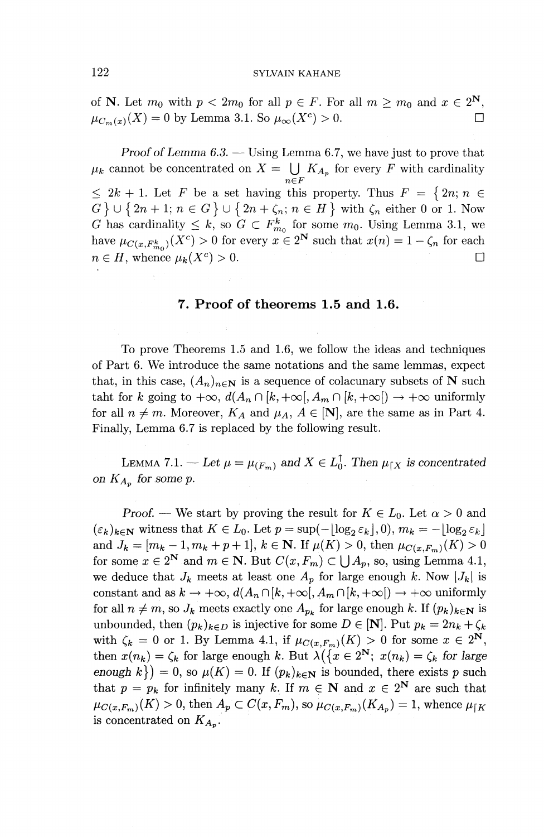of N. Let  $m_0$  with  $p < 2m_0$  for all  $p \in F$ . For all  $m \geq m_0$  and  $x \in 2^N$ ,  $\mu_{C_m(x)}(X) = 0$  by Lemma 3.1. So  $\mu_\infty(X^c) > 0$ .

*Proof of Lemma 6.3. —* Using Lemma 6.7, we have just to prove that *lik* cannot be concentrated on  $X = \bigcup_{n \in F} K_{A_p}$  for every *F* with cardinality  $\leq 2k + 1$ . Let F be a set having this property. Thus  $F = \{2n, n \in$  $G \cup \{2n+1; n \in G\} \cup \{2n+\zeta_n; n \in H\}$  with  $\zeta_n$  either 0 or 1. Now *G* has cardinality  $\leq k$ , so  $G \subset F^k_{m_0}$  for some  $m_0$ . Using Lemma 3.1, we have  $\mu_{C(x, F^k_{m})}(X^c) > 0$  for every  $x \in 2^N$  such that  $x(n) = 1 - \zeta_n$  for each  $n \in H$ , whence  $\mu_k(X^c) > 0$ .  $\Box$ 

#### **7. Proof of theorems 1.5 and 1.6.**

To prove Theorems 1.5 and 1.6, we follow the ideas and techniques of Part 6. We introduce the same notations and the same lemmas, expect that, in this case,  $(A_n)_{n\in\mathbb{N}}$  is a sequence of colacunary subsets of N such taht for *k* going to  $+\infty$ ,  $d(A_n \cap [k, +\infty[, A_m \cap [k, +\infty[) \to +\infty$  uniformly for all  $n \neq m$ . Moreover,  $K_A$  and  $\mu_A$ ,  $A \in [N]$ , are the same as in Part 4. Finally, Lemma 6.7 is replaced by the following result.

LEMMA 7.1. — Let  $\mu = \mu_{(F_m)}$  and  $X \in L_0^{\uparrow}$ . Then  $\mu_{\upharpoonright X}$  is concentrated *on*  $K_{A_n}$  *for some p.* 

*Proof.* — We start by proving the result for  $K \in L_0$ . Let  $\alpha > 0$  and  $(\varepsilon_k)_{k\in\mathbb{N}}$  witness that  $K\in L_0$ . Let  $p = \sup(-\lfloor \log_2 \varepsilon_k \rfloor, 0), m_k = -\lfloor \log_2 \varepsilon_k \rfloor$ and  $J_k = [m_k - 1, m_k + p + 1]$ ,  $k \in \mathbb{N}$ . If  $\mu(K) > 0$ , then  $\mu_{C(x, F_m)}(K) > 0$ for some  $x \in 2^N$  and  $m \in \mathbb{N}$ . But  $C(x, F_m) \subset \bigcup A_p$ , so, using Lemma 4.1, we deduce that  $J_k$  meets at least one  $A_p$  for large enough k. Now  $|J_k|$  is constant and as  $k \to +\infty$ ,  $d(A_n \cap [k, +\infty[, A_m \cap [k, +\infty]) \to +\infty$  uniformly for all  $n \neq m$ , so  $J_k$  meets exactly one  $A_{p_k}$  for large enough k. If  $(p_k)_{k \in \mathbb{N}}$  is unbounded, then  $(p_k)_{k \in D}$  is injective for some  $D \in [N]$ . Put  $p_k = 2n_k + \zeta_k$ with  $\zeta_k = 0$  or 1. By Lemma 4.1, if  $\mu_{C(x,F_m)}(K) > 0$  for some  $x \in 2^N$ then  $x(n_k) = \zeta_k$  for large enough k. But  $\lambda(\{x \in 2^N : x(n_k) = \zeta_k\}$  for large *enough k})* = 0, so  $\mu(K) = 0$ . If  $(p_k)_{k \in \mathbb{N}}$  is bounded, there exists p such that  $p = p_k$  for infinitely many k. If  $m \in \mathbb{N}$  and  $x \in 2^{\mathbb{N}}$  are such that  $\mu_{C(x,F_m)}(K) > 0$ , then  $A_p \subset C(x, F_m)$ , so  $\mu_{C(x,F_m)}(K_{A_p}) = 1$ , whence  $\mu_{\{K\}}$ is concentrated on  $K_{A_n}$ .